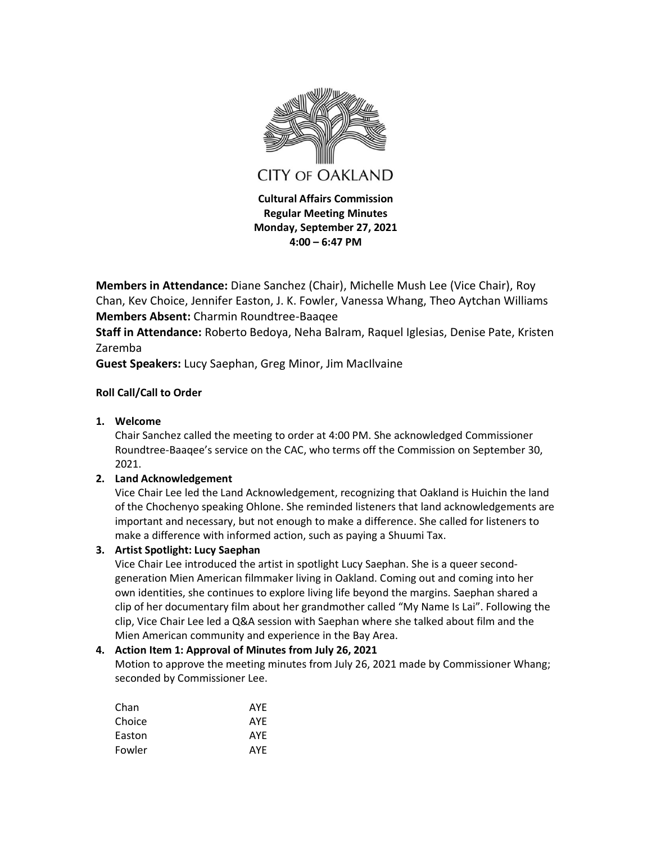

**Members in Attendance:** Diane Sanchez (Chair), Michelle Mush Lee (Vice Chair), Roy Chan, Kev Choice, Jennifer Easton, J. K. Fowler, Vanessa Whang, Theo Aytchan Williams **Members Absent:** Charmin Roundtree-Baaqee

**Staff in Attendance:** Roberto Bedoya, Neha Balram, Raquel Iglesias, Denise Pate, Kristen Zaremba

**Guest Speakers:** Lucy Saephan, Greg Minor, Jim MacIlvaine

# **Roll Call/Call to Order**

**1. Welcome**

Chair Sanchez called the meeting to order at 4:00 PM. She acknowledged Commissioner Roundtree-Baaqee's service on the CAC, who terms off the Commission on September 30, 2021.

# **2. Land Acknowledgement**

Vice Chair Lee led the Land Acknowledgement, recognizing that Oakland is Huichin the land of the Chochenyo speaking Ohlone. She reminded listeners that land acknowledgements are important and necessary, but not enough to make a difference. She called for listeners to make a difference with informed action, such as paying a Shuumi Tax.

# **3. Artist Spotlight: Lucy Saephan**

Vice Chair Lee introduced the artist in spotlight Lucy Saephan. She is a queer secondgeneration Mien American filmmaker living in Oakland. Coming out and coming into her own identities, she continues to explore living life beyond the margins. Saephan shared a clip of her documentary film about her grandmother called "My Name Is Lai". Following the clip, Vice Chair Lee led a Q&A session with Saephan where she talked about film and the Mien American community and experience in the Bay Area.

# **4. Action Item 1: Approval of Minutes from July 26, 2021**

Motion to approve the meeting minutes from July 26, 2021 made by Commissioner Whang; seconded by Commissioner Lee.

| AYE |
|-----|
| AYE |
| AYF |
| AYF |
|     |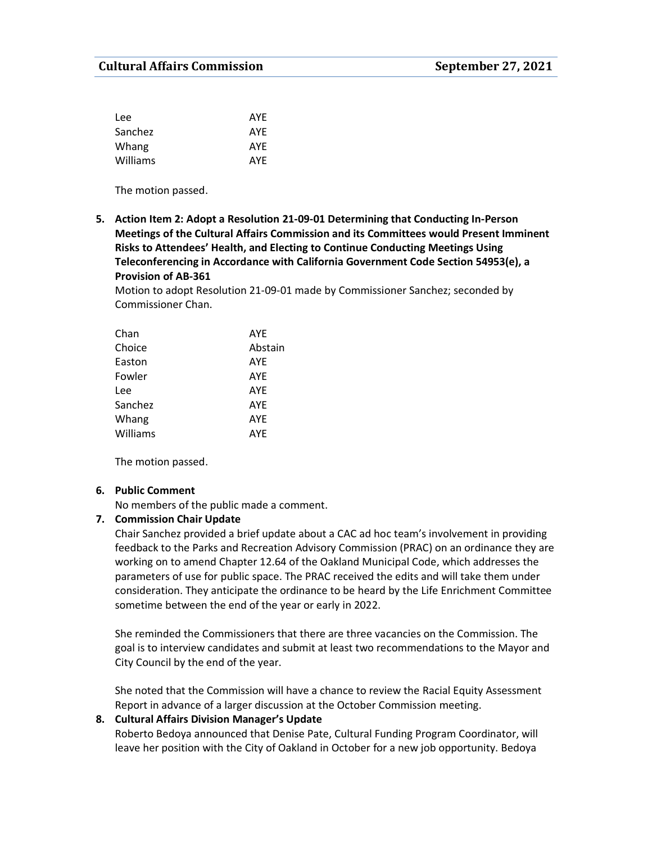| Lee      | AYE |
|----------|-----|
| Sanchez  | AYE |
| Whang    | AYE |
| Williams | AYE |

The motion passed.

**5. Action Item 2: Adopt a Resolution 21-09-01 Determining that Conducting In-Person Meetings of the Cultural Affairs Commission and its Committees would Present Imminent Risks to Attendees' Health, and Electing to Continue Conducting Meetings Using Teleconferencing in Accordance with California Government Code Section 54953(e), a Provision of AB-361**

Motion to adopt Resolution 21-09-01 made by Commissioner Sanchez; seconded by Commissioner Chan.

| Chan     | <b>AYE</b> |
|----------|------------|
| Choice   | Abstain    |
| Easton   | <b>AYE</b> |
| Fowler   | AYF        |
| Lee      | <b>AYF</b> |
| Sanchez  | <b>AYF</b> |
| Whang    | <b>AYE</b> |
| Williams | <b>AYE</b> |
|          |            |

The motion passed.

# **6. Public Comment**

No members of the public made a comment.

### **7. Commission Chair Update**

Chair Sanchez provided a brief update about a CAC ad hoc team's involvement in providing feedback to the Parks and Recreation Advisory Commission (PRAC) on an ordinance they are working on to amend Chapter 12.64 of the Oakland Municipal Code, which addresses the parameters of use for public space. The PRAC received the edits and will take them under consideration. They anticipate the ordinance to be heard by the Life Enrichment Committee sometime between the end of the year or early in 2022.

She reminded the Commissioners that there are three vacancies on the Commission. The goal is to interview candidates and submit at least two recommendations to the Mayor and City Council by the end of the year.

She noted that the Commission will have a chance to review the Racial Equity Assessment Report in advance of a larger discussion at the October Commission meeting.

# **8. Cultural Affairs Division Manager's Update**

Roberto Bedoya announced that Denise Pate, Cultural Funding Program Coordinator, will leave her position with the City of Oakland in October for a new job opportunity. Bedoya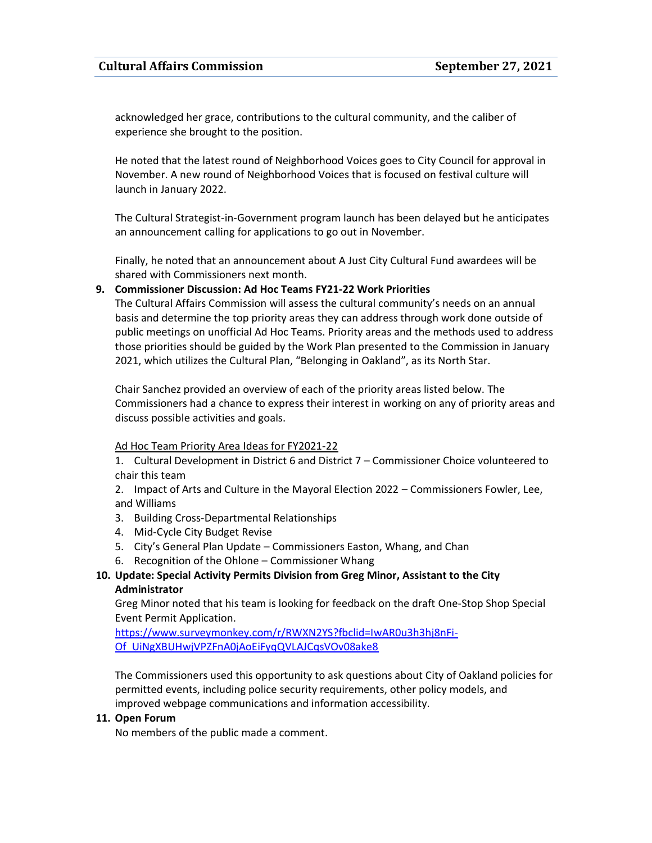acknowledged her grace, contributions to the cultural community, and the caliber of experience she brought to the position.

He noted that the latest round of Neighborhood Voices goes to City Council for approval in November. A new round of Neighborhood Voices that is focused on festival culture will launch in January 2022.

The Cultural Strategist-in-Government program launch has been delayed but he anticipates an announcement calling for applications to go out in November.

Finally, he noted that an announcement about A Just City Cultural Fund awardees will be shared with Commissioners next month.

## **9. Commissioner Discussion: Ad Hoc Teams FY21-22 Work Priorities**

The Cultural Affairs Commission will assess the cultural community's needs on an annual basis and determine the top priority areas they can address through work done outside of public meetings on unofficial Ad Hoc Teams. Priority areas and the methods used to address those priorities should be guided by the Work Plan presented to the Commission in January 2021, which utilizes the Cultural Plan, "Belonging in Oakland", as its North Star.

Chair Sanchez provided an overview of each of the priority areas listed below. The Commissioners had a chance to express their interest in working on any of priority areas and discuss possible activities and goals.

### Ad Hoc Team Priority Area Ideas for FY2021-22

1. Cultural Development in District 6 and District 7 – Commissioner Choice volunteered to chair this team

2. Impact of Arts and Culture in the Mayoral Election 2022 – Commissioners Fowler, Lee, and Williams

- 3. Building Cross-Departmental Relationships
- 4. Mid-Cycle City Budget Revise
- 5. City's General Plan Update Commissioners Easton, Whang, and Chan
- 6. Recognition of the Ohlone Commissioner Whang

# **10. Update: Special Activity Permits Division from Greg Minor, Assistant to the City Administrator**

Greg Minor noted that his team is looking for feedback on the draft One-Stop Shop Special Event Permit Application.

[https://www.surveymonkey.com/r/RWXN2YS?fbclid=IwAR0u3h3hj8nFi-](https://www.surveymonkey.com/r/RWXN2YS?fbclid=IwAR0u3h3hj8nFi-Of_UiNgXBUHwjVPZFnA0jAoEiFyqQVLAJCqsVOv08ake8)[Of\\_UiNgXBUHwjVPZFnA0jAoEiFyqQVLAJCqsVOv08ake8](https://www.surveymonkey.com/r/RWXN2YS?fbclid=IwAR0u3h3hj8nFi-Of_UiNgXBUHwjVPZFnA0jAoEiFyqQVLAJCqsVOv08ake8)

The Commissioners used this opportunity to ask questions about City of Oakland policies for permitted events, including police security requirements, other policy models, and improved webpage communications and information accessibility.

### **11. Open Forum**

No members of the public made a comment.